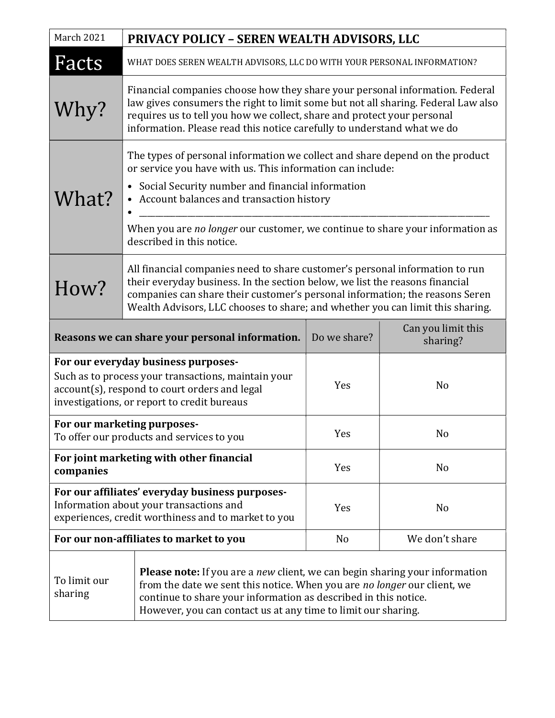| March 2021                                                                                                                                                                                 | PRIVACY POLICY - SEREN WEALTH ADVISORS, LLC                                                                                                                                                                                                                                                                                                                  |              |                                |
|--------------------------------------------------------------------------------------------------------------------------------------------------------------------------------------------|--------------------------------------------------------------------------------------------------------------------------------------------------------------------------------------------------------------------------------------------------------------------------------------------------------------------------------------------------------------|--------------|--------------------------------|
| Facts                                                                                                                                                                                      | WHAT DOES SEREN WEALTH ADVISORS, LLC DO WITH YOUR PERSONAL INFORMATION?                                                                                                                                                                                                                                                                                      |              |                                |
| Why?                                                                                                                                                                                       | Financial companies choose how they share your personal information. Federal<br>law gives consumers the right to limit some but not all sharing. Federal Law also<br>requires us to tell you how we collect, share and protect your personal<br>information. Please read this notice carefully to understand what we do                                      |              |                                |
| What?                                                                                                                                                                                      | The types of personal information we collect and share depend on the product<br>or service you have with us. This information can include:<br>• Social Security number and financial information<br>• Account balances and transaction history<br>When you are no longer our customer, we continue to share your information as<br>described in this notice. |              |                                |
| How?                                                                                                                                                                                       | All financial companies need to share customer's personal information to run<br>their everyday business. In the section below, we list the reasons financial<br>companies can share their customer's personal information; the reasons Seren<br>Wealth Advisors, LLC chooses to share; and whether you can limit this sharing.                               |              |                                |
| Reasons we can share your personal information.                                                                                                                                            |                                                                                                                                                                                                                                                                                                                                                              | Do we share? | Can you limit this<br>sharing? |
| For our everyday business purposes-<br>Such as to process your transactions, maintain your<br>account(s), respond to court orders and legal<br>investigations, or report to credit bureaus |                                                                                                                                                                                                                                                                                                                                                              | Yes          | N <sub>o</sub>                 |
| For our marketing purposes-<br>To offer our products and services to you                                                                                                                   |                                                                                                                                                                                                                                                                                                                                                              | Yes          | No                             |
| For joint marketing with other financial<br>companies                                                                                                                                      |                                                                                                                                                                                                                                                                                                                                                              | Yes          | N <sub>0</sub>                 |
| For our affiliates' everyday business purposes-<br>Information about your transactions and<br>experiences, credit worthiness and to market to you                                          |                                                                                                                                                                                                                                                                                                                                                              | Yes          | N <sub>o</sub>                 |
| For our non-affiliates to market to you                                                                                                                                                    |                                                                                                                                                                                                                                                                                                                                                              | No           | We don't share                 |
| To limit our<br>sharing                                                                                                                                                                    | <b>Please note:</b> If you are a <i>new</i> client, we can begin sharing your information<br>from the date we sent this notice. When you are no longer our client, we<br>continue to share your information as described in this notice.<br>However, you can contact us at any time to limit our sharing.                                                    |              |                                |